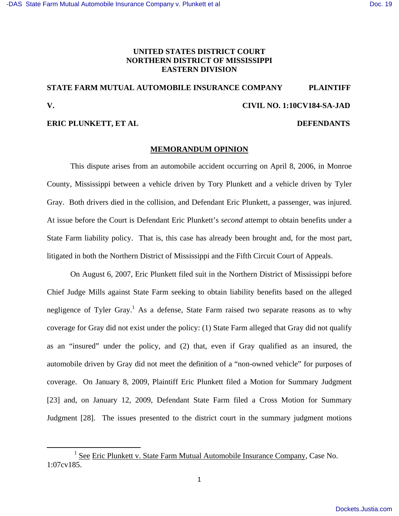## **UNITED STATES DISTRICT COURT NORTHERN DISTRICT OF MISSISSIPPI EASTERN DIVISION**

# **STATE FARM MUTUAL AUTOMOBILE INSURANCE COMPANY PLAINTIFF V. CIVIL NO. 1:10CV184-SA-JAD**

## **ERIC PLUNKETT, ET AL DEFENDANTS**

#### **MEMORANDUM OPINION**

 This dispute arises from an automobile accident occurring on April 8, 2006, in Monroe County, Mississippi between a vehicle driven by Tory Plunkett and a vehicle driven by Tyler Gray. Both drivers died in the collision, and Defendant Eric Plunkett, a passenger, was injured. At issue before the Court is Defendant Eric Plunkett's *second* attempt to obtain benefits under a State Farm liability policy. That is, this case has already been brought and, for the most part, litigated in both the Northern District of Mississippi and the Fifth Circuit Court of Appeals.

 On August 6, 2007, Eric Plunkett filed suit in the Northern District of Mississippi before Chief Judge Mills against State Farm seeking to obtain liability benefits based on the alleged negligence of Tyler Gray.<sup>1</sup> As a defense, State Farm raised two separate reasons as to why coverage for Gray did not exist under the policy: (1) State Farm alleged that Gray did not qualify as an "insured" under the policy, and (2) that, even if Gray qualified as an insured, the automobile driven by Gray did not meet the definition of a "non-owned vehicle" for purposes of coverage. On January 8, 2009, Plaintiff Eric Plunkett filed a Motion for Summary Judgment [23] and, on January 12, 2009, Defendant State Farm filed a Cross Motion for Summary Judgment [28]. The issues presented to the district court in the summary judgment motions

<sup>&</sup>lt;sup>1</sup> See Eric Plunkett v. State Farm Mutual Automobile Insurance Company, Case No. 1:07cv185.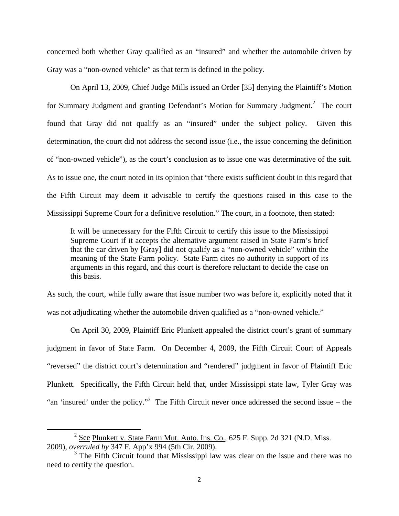concerned both whether Gray qualified as an "insured" and whether the automobile driven by Gray was a "non-owned vehicle" as that term is defined in the policy.

 On April 13, 2009, Chief Judge Mills issued an Order [35] denying the Plaintiff's Motion for Summary Judgment and granting Defendant's Motion for Summary Judgment.<sup>2</sup> The court found that Gray did not qualify as an "insured" under the subject policy. Given this determination, the court did not address the second issue (i.e., the issue concerning the definition of "non-owned vehicle"), as the court's conclusion as to issue one was determinative of the suit. As to issue one, the court noted in its opinion that "there exists sufficient doubt in this regard that the Fifth Circuit may deem it advisable to certify the questions raised in this case to the Mississippi Supreme Court for a definitive resolution." The court, in a footnote, then stated:

It will be unnecessary for the Fifth Circuit to certify this issue to the Mississippi Supreme Court if it accepts the alternative argument raised in State Farm's brief that the car driven by [Gray] did not qualify as a "non-owned vehicle" within the meaning of the State Farm policy. State Farm cites no authority in support of its arguments in this regard, and this court is therefore reluctant to decide the case on this basis.

As such, the court, while fully aware that issue number two was before it, explicitly noted that it was not adjudicating whether the automobile driven qualified as a "non-owned vehicle."

On April 30, 2009, Plaintiff Eric Plunkett appealed the district court's grant of summary judgment in favor of State Farm. On December 4, 2009, the Fifth Circuit Court of Appeals "reversed" the district court's determination and "rendered" judgment in favor of Plaintiff Eric Plunkett. Specifically, the Fifth Circuit held that, under Mississippi state law, Tyler Gray was "an 'insured' under the policy."<sup>3</sup> The Fifth Circuit never once addressed the second issue – the

 $2^{2}$  See Plunkett v. State Farm Mut. Auto. Ins. Co., 625 F. Supp. 2d 321 (N.D. Miss. 2009), *overruled by* 347 F. App'x 994 (5th Cir. 2009).

<sup>&</sup>lt;sup>3</sup> The Fifth Circuit found that Mississippi law was clear on the issue and there was no need to certify the question.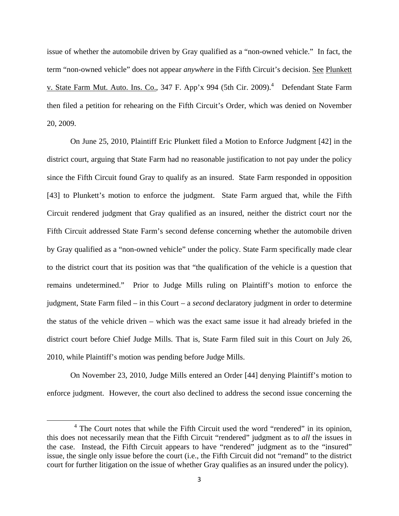issue of whether the automobile driven by Gray qualified as a "non-owned vehicle." In fact, the term "non-owned vehicle" does not appear *anywhere* in the Fifth Circuit's decision. See Plunkett v. State Farm Mut. Auto. Ins. Co., 347 F. App'x 994 (5th Cir. 2009).<sup>4</sup> Defendant State Farm then filed a petition for rehearing on the Fifth Circuit's Order, which was denied on November 20, 2009.

On June 25, 2010, Plaintiff Eric Plunkett filed a Motion to Enforce Judgment [42] in the district court, arguing that State Farm had no reasonable justification to not pay under the policy since the Fifth Circuit found Gray to qualify as an insured. State Farm responded in opposition [43] to Plunkett's motion to enforce the judgment. State Farm argued that, while the Fifth Circuit rendered judgment that Gray qualified as an insured, neither the district court nor the Fifth Circuit addressed State Farm's second defense concerning whether the automobile driven by Gray qualified as a "non-owned vehicle" under the policy. State Farm specifically made clear to the district court that its position was that "the qualification of the vehicle is a question that remains undetermined." Prior to Judge Mills ruling on Plaintiff's motion to enforce the judgment, State Farm filed – in this Court – a *second* declaratory judgment in order to determine the status of the vehicle driven – which was the exact same issue it had already briefed in the district court before Chief Judge Mills. That is, State Farm filed suit in this Court on July 26, 2010, while Plaintiff's motion was pending before Judge Mills.

On November 23, 2010, Judge Mills entered an Order [44] denying Plaintiff's motion to enforce judgment. However, the court also declined to address the second issue concerning the

<sup>&</sup>lt;sup>4</sup> The Court notes that while the Fifth Circuit used the word "rendered" in its opinion, this does not necessarily mean that the Fifth Circuit "rendered" judgment as to *all* the issues in the case. Instead, the Fifth Circuit appears to have "rendered" judgment as to the "insured" issue, the single only issue before the court (i.e., the Fifth Circuit did not "remand" to the district court for further litigation on the issue of whether Gray qualifies as an insured under the policy).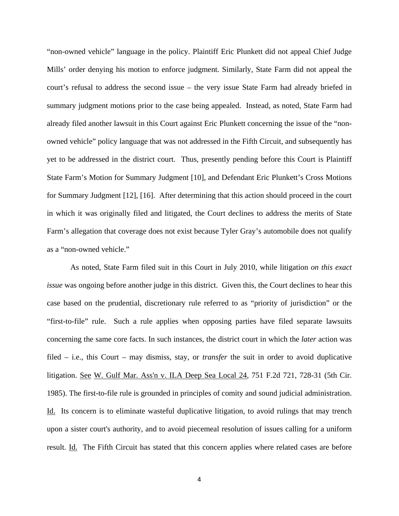"non-owned vehicle" language in the policy. Plaintiff Eric Plunkett did not appeal Chief Judge Mills' order denying his motion to enforce judgment. Similarly, State Farm did not appeal the court's refusal to address the second issue – the very issue State Farm had already briefed in summary judgment motions prior to the case being appealed. Instead, as noted, State Farm had already filed another lawsuit in this Court against Eric Plunkett concerning the issue of the "nonowned vehicle" policy language that was not addressed in the Fifth Circuit, and subsequently has yet to be addressed in the district court. Thus, presently pending before this Court is Plaintiff State Farm's Motion for Summary Judgment [10], and Defendant Eric Plunkett's Cross Motions for Summary Judgment [12], [16]. After determining that this action should proceed in the court in which it was originally filed and litigated, the Court declines to address the merits of State Farm's allegation that coverage does not exist because Tyler Gray's automobile does not qualify as a "non-owned vehicle."

As noted, State Farm filed suit in this Court in July 2010, while litigation *on this exact issue* was ongoing before another judge in this district. Given this, the Court declines to hear this case based on the prudential, discretionary rule referred to as "priority of jurisdiction" or the "first-to-file" rule. Such a rule applies when opposing parties have filed separate lawsuits concerning the same core facts. In such instances, the district court in which the *later* action was filed – i.e., this Court – may dismiss, stay, or *transfer* the suit in order to avoid duplicative litigation. See W. Gulf Mar. Ass'n v. ILA Deep Sea Local 24*,* 751 F.2d 721, 728-31 (5th Cir. 1985). The first-to-file rule is grounded in principles of comity and sound judicial administration. Id. Its concern is to eliminate wasteful duplicative litigation, to avoid rulings that may trench upon a sister court's authority, and to avoid piecemeal resolution of issues calling for a uniform result. Id. The Fifth Circuit has stated that this concern applies where related cases are before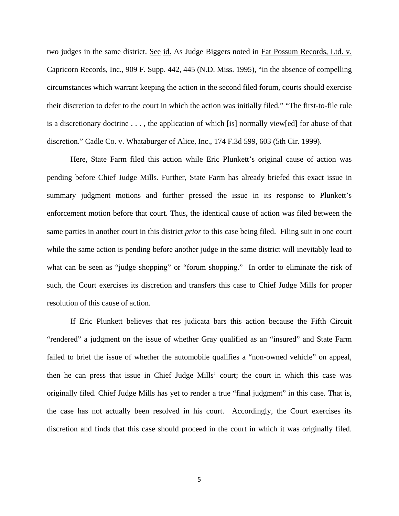two judges in the same district. See id. As Judge Biggers noted in Fat Possum Records, Ltd. v. Capricorn Records, Inc., 909 F. Supp. 442, 445 (N.D. Miss. 1995), "in the absence of compelling circumstances which warrant keeping the action in the second filed forum, courts should exercise their discretion to defer to the court in which the action was initially filed." "The first-to-file rule is a discretionary doctrine . . . , the application of which [is] normally view[ed] for abuse of that discretion." Cadle Co. v. Whataburger of Alice, Inc., 174 F.3d 599, 603 (5th Cir. 1999).

 Here, State Farm filed this action while Eric Plunkett's original cause of action was pending before Chief Judge Mills. Further, State Farm has already briefed this exact issue in summary judgment motions and further pressed the issue in its response to Plunkett's enforcement motion before that court. Thus, the identical cause of action was filed between the same parties in another court in this district *prior* to this case being filed. Filing suit in one court while the same action is pending before another judge in the same district will inevitably lead to what can be seen as "judge shopping" or "forum shopping." In order to eliminate the risk of such, the Court exercises its discretion and transfers this case to Chief Judge Mills for proper resolution of this cause of action.

If Eric Plunkett believes that res judicata bars this action because the Fifth Circuit "rendered" a judgment on the issue of whether Gray qualified as an "insured" and State Farm failed to brief the issue of whether the automobile qualifies a "non-owned vehicle" on appeal, then he can press that issue in Chief Judge Mills' court; the court in which this case was originally filed. Chief Judge Mills has yet to render a true "final judgment" in this case. That is, the case has not actually been resolved in his court. Accordingly, the Court exercises its discretion and finds that this case should proceed in the court in which it was originally filed.